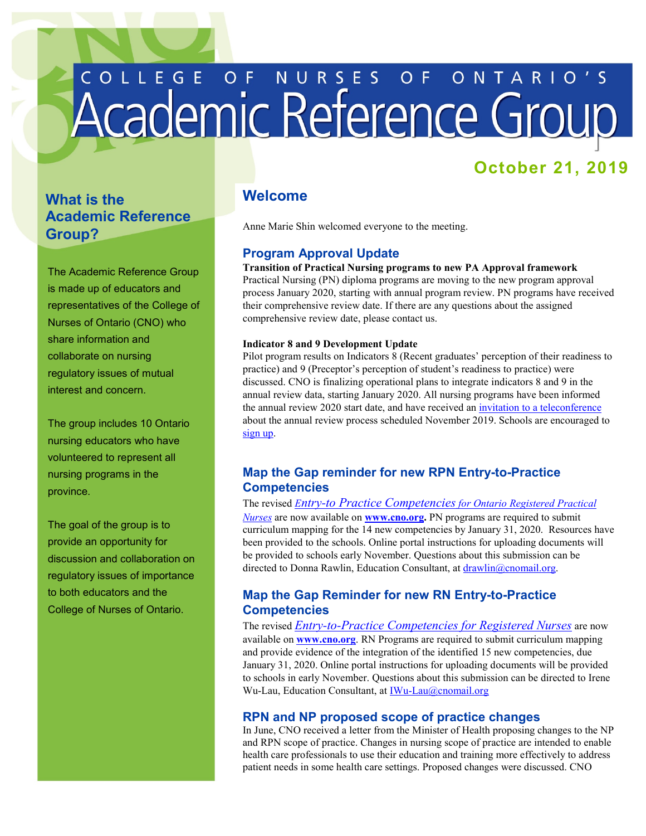# COLLEGE OF NURSES OF ONTARIO'S

# **October 21, 2019**

# **What is the Academic Reference Group?**

The Academic Reference Group is made up of educators and representatives of the College of Nurses of Ontario (CNO) who share information and collaborate on nursing regulatory issues of mutual interest and concern.

The group includes 10 Ontario nursing educators who have volunteered to represent all nursing programs in the province.

 provide an opportunity for The goal of the group is to discussion and collaboration on regulatory issues of importance to both educators and the College of Nurses of Ontario.

## **Welcome**

Anne Marie Shin welcomed everyone to the meeting.

## **Program Approval Update**

#### **Transition of Practical Nursing programs to new PA Approval framework**

 Practical Nursing (PN) diploma programs are moving to the new program approval comprehensive review date, please contact us. process January 2020, starting with annual program review. PN programs have received their comprehensive review date. If there are any questions about the assigned

#### **Indicator 8 and 9 Development Update**

Pilot program results on Indicators 8 (Recent graduates' perception of their readiness to practice) and 9 (Preceptor's perception of student's readiness to practice) were discussed. CNO is finalizing operational plans to integrate indicators 8 and 9 in the annual review data, starting January 2020. All nursing programs have been informed the annual review 2020 start date, and have received an [invitation to a teleconference](http://www.cno.org/en/learn-about-standards-guidelines/educational-tools/teleconferences/program-approval-teleconference/)  about the annual review process scheduled November 2019. Schools are encouraged to [sign up.](http://www.cno.org/en/learn-about-standards-guidelines/educational-tools/teleconferences/program-approval-teleconference/) 

#### **Map the Gap reminder for new RPN Entry-to-Practice Competencies**

The revised *[Entry-to Practice Competencies for Ontario Registered Practical](http://www.cno.org/globalassets/docs/reg/41042_entrypracrpn-2020.pdf)  [Nurses](http://www.cno.org/globalassets/docs/reg/41042_entrypracrpn-2020.pdf)* are now available on **[www.cno.org.](http://www.cno.org/)** PN programs are required to submit curriculum mapping for the 14 new competencies by January 31, 2020. Resources have been provided to the schools. Online portal instructions for uploading documents will be provided to schools early November. Questions about this submission can be directed to Donna Rawlin, Education Consultant, at [drawlin@cnomail.org.](mailto:drawlin@cnomail.org)

#### **Map the Gap Reminder for new RN Entry-to-Practice Competencies**

The revised *[Entry-to-Practice Competencies for Registered Nurses](http://www.cno.org/globalassets/docs/reg/41037-entry-to-practice-competencies-2020.pdf)* are now available on **[www.cno.org](http://www.cno.org/)**. RN Programs are required to submit curriculum mapping and provide evidence of the integration of the identified 15 new competencies, due January 31, 2020. Online portal instructions for uploading documents will be provided to schools in early November. Questions about this submission can be directed to Irene Wu-Lau, Education Consultant, at IWu-Lau@cnomail.org

#### **RPN and NP proposed scope of practice changes**

In June, CNO received a letter from the Minister of Health proposing changes to the NP and RPN scope of practice. Changes in nursing scope of practice are intended to enable health care professionals to use their education and training more effectively to address patient needs in some health care settings. Proposed changes were discussed. CNO